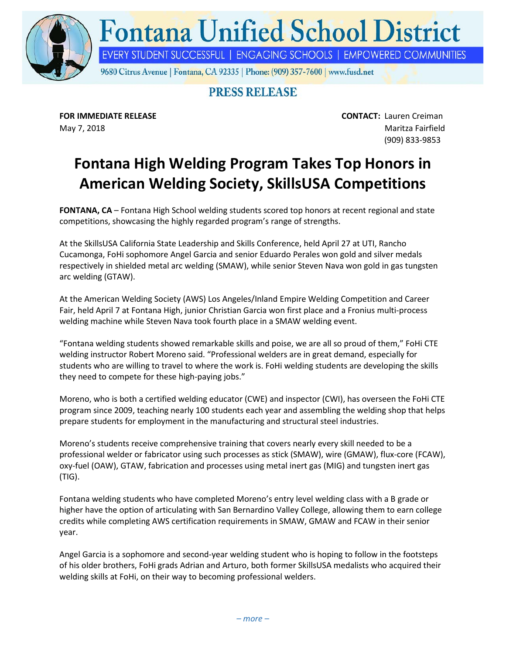

## **Fontana Unified School District**

EVERY STUDENT SUCCESSFUL | ENGAGING SCHOOLS | EMPOWERED COMMUNITIES

9680 Citrus Avenue | Fontana, CA 92335 | Phone: (909) 357-7600 | www.fusd.net

## **PRESS RELEASE**

**FOR IMMEDIATE RELEASE CONTACT:** Lauren Creiman May 7, 2018 Maritza Fairfield (909) 833-9853

## **Fontana High Welding Program Takes Top Honors in American Welding Society, SkillsUSA Competitions**

**FONTANA, CA** – Fontana High School welding students scored top honors at recent regional and state competitions, showcasing the highly regarded program's range of strengths.

At the SkillsUSA California State Leadership and Skills Conference, held April 27 at UTI, Rancho Cucamonga, FoHi sophomore Angel Garcia and senior Eduardo Perales won gold and silver medals respectively in shielded metal arc welding (SMAW), while senior Steven Nava won gold in gas tungsten arc welding (GTAW).

At the American Welding Society (AWS) Los Angeles/Inland Empire Welding Competition and Career Fair, held April 7 at Fontana High, junior Christian Garcia won first place and a Fronius multi-process welding machine while Steven Nava took fourth place in a SMAW welding event.

"Fontana welding students showed remarkable skills and poise, we are all so proud of them," FoHi CTE welding instructor Robert Moreno said. "Professional welders are in great demand, especially for students who are willing to travel to where the work is. FoHi welding students are developing the skills they need to compete for these high-paying jobs."

Moreno, who is both a certified welding educator (CWE) and inspector (CWI), has overseen the FoHi CTE program since 2009, teaching nearly 100 students each year and assembling the welding shop that helps prepare students for employment in the manufacturing and structural steel industries.

Moreno's students receive comprehensive training that covers nearly every skill needed to be a professional welder or fabricator using such processes as stick (SMAW), wire (GMAW), flux-core (FCAW), oxy-fuel (OAW), GTAW, fabrication and processes using metal inert gas (MIG) and tungsten inert gas (TIG).

Fontana welding students who have completed Moreno's entry level welding class with a B grade or higher have the option of articulating with San Bernardino Valley College, allowing them to earn college credits while completing AWS certification requirements in SMAW, GMAW and FCAW in their senior year.

Angel Garcia is a sophomore and second-year welding student who is hoping to follow in the footsteps of his older brothers, FoHi grads Adrian and Arturo, both former SkillsUSA medalists who acquired their welding skills at FoHi, on their way to becoming professional welders.